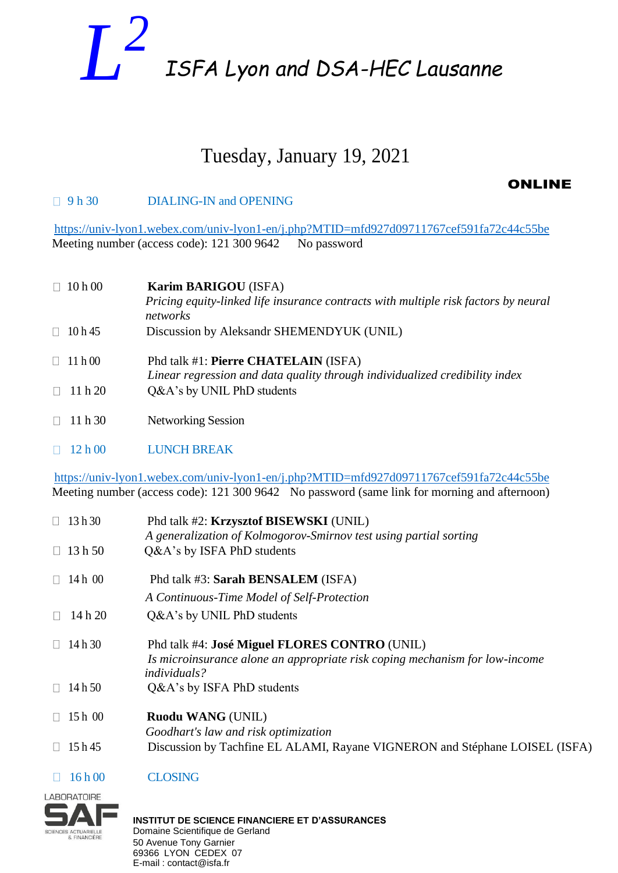## *L 2 ISFA Lyon and DSA-HEC Lausanne*

## Tuesday, January 19, 2021

### ONLINE

#### □ 9 h 30 DIALING-IN and OPENING

 <https://univ-lyon1.webex.com/univ-lyon1-en/j.php?MTID=mfd927d09711767cef591fa72c44c55be> Meeting number (access code): 121 300 9642 No password

| 10h00   | Karim BARIGOU (ISFA)                                                                                                |
|---------|---------------------------------------------------------------------------------------------------------------------|
|         | Pricing equity-linked life insurance contracts with multiple risk factors by neural<br>networks                     |
| 10h45   | Discussion by Aleksandr SHEMENDYUK (UNIL)                                                                           |
| 11h00   | Phd talk #1: Pierre CHATELAIN (ISFA)<br>Linear regression and data quality through individualized credibility index |
| 11h20   | Q&A's by UNIL PhD students                                                                                          |
| 11 h 30 | Networking Session                                                                                                  |

12 h 00 LUNCH BREAK

 <https://univ-lyon1.webex.com/univ-lyon1-en/j.php?MTID=mfd927d09711767cef591fa72c44c55be> Meeting number (access code): 121 300 9642 No password (same link for morning and afternoon)

| 13h30           | Phd talk #2: Krzysztof BISEWSKI (UNIL)<br>A generalization of Kolmogorov-Smirnov test using partial sorting                                         |
|-----------------|-----------------------------------------------------------------------------------------------------------------------------------------------------|
| 13h50<br>$\Box$ | Q&A's by ISFA PhD students                                                                                                                          |
| 14 h 00         | Phd talk #3: Sarah BENSALEM (ISFA)                                                                                                                  |
|                 | A Continuous-Time Model of Self-Protection                                                                                                          |
| 14 h 20         | Q&A's by UNIL PhD students                                                                                                                          |
| 14h30           | Phd talk #4: José Miguel FLORES CONTRO (UNIL)<br>Is microinsurance alone an appropriate risk coping mechanism for low-income<br><i>individuals?</i> |
| 14 h 50         | Q&A's by ISFA PhD students                                                                                                                          |
| 15 h 00         | <b>Ruodu WANG (UNIL)</b><br>Goodhart's law and risk optimization                                                                                    |
| 15 h 45         | Discussion by Tachfine EL ALAMI, Rayane VIGNERON and Stéphane LOISEL (ISFA)                                                                         |
|                 |                                                                                                                                                     |

#### $\Box$  16 h 00 CLOSING

**LABORATOIRE** 

SCIENCES ACTUARIELLE

**INSTITUT DE SCIENCE FINANCIERE ET D'ASSURANCES** Domaine Scientifique de Gerland 50 Avenue Tony Garnier 69366 LYON CEDEX 07 E-mail : contact@isfa.fr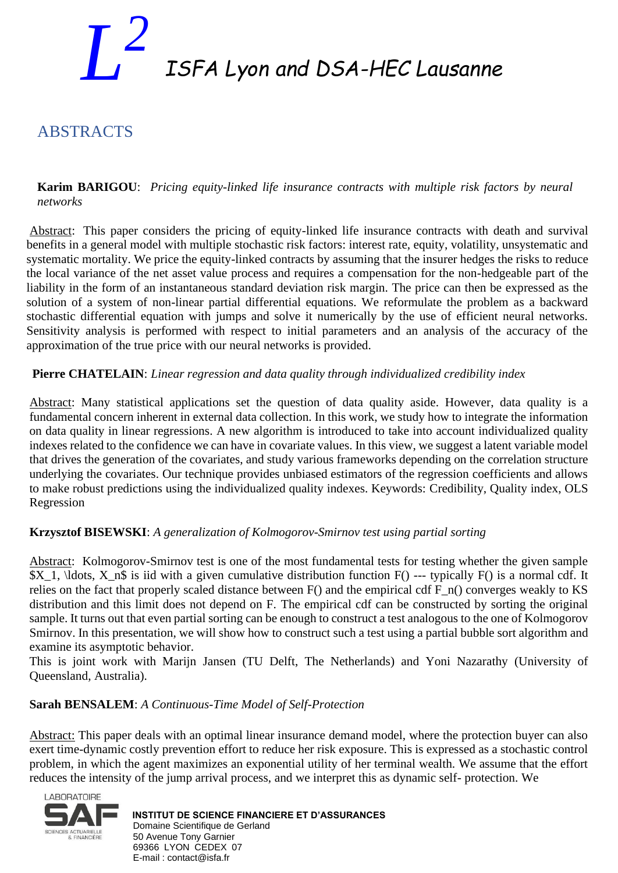## *L 2 ISFA Lyon and DSA-HEC Lausanne*

### ABSTRACTS

**Karim BARIGOU**: *Pricing equity-linked life insurance contracts with multiple risk factors by neural networks*

Abstract: This paper considers the pricing of equity-linked life insurance contracts with death and survival benefits in a general model with multiple stochastic risk factors: interest rate, equity, volatility, unsystematic and systematic mortality. We price the equity-linked contracts by assuming that the insurer hedges the risks to reduce the local variance of the net asset value process and requires a compensation for the non-hedgeable part of the liability in the form of an instantaneous standard deviation risk margin. The price can then be expressed as the solution of a system of non-linear partial differential equations. We reformulate the problem as a backward stochastic differential equation with jumps and solve it numerically by the use of efficient neural networks. Sensitivity analysis is performed with respect to initial parameters and an analysis of the accuracy of the approximation of the true price with our neural networks is provided.

#### **Pierre CHATELAIN**: *Linear regression and data quality through individualized credibility index*

Abstract: Many statistical applications set the question of data quality aside. However, data quality is a fundamental concern inherent in external data collection. In this work, we study how to integrate the information on data quality in linear regressions. A new algorithm is introduced to take into account individualized quality indexes related to the confidence we can have in covariate values. In this view, we suggest a latent variable model that drives the generation of the covariates, and study various frameworks depending on the correlation structure underlying the covariates. Our technique provides unbiased estimators of the regression coefficients and allows to make robust predictions using the individualized quality indexes. Keywords: Credibility, Quality index, OLS Regression

#### **Krzysztof BISEWSKI**: *A generalization of Kolmogorov-Smirnov test using partial sorting*

Abstract: Kolmogorov-Smirnov test is one of the most fundamental tests for testing whether the given sample \$X\_1, \ldots, X\_n\$ is iid with a given cumulative distribution function F() --- typically F() is a normal cdf. It relies on the fact that properly scaled distance between  $F()$  and the empirical cdf  $F_n()$  converges weakly to KS distribution and this limit does not depend on F. The empirical cdf can be constructed by sorting the original sample. It turns out that even partial sorting can be enough to construct a test analogous to the one of Kolmogorov Smirnov. In this presentation, we will show how to construct such a test using a partial bubble sort algorithm and examine its asymptotic behavior.

This is joint work with Marijn Jansen (TU Delft, The Netherlands) and Yoni Nazarathy (University of Queensland, Australia).

#### **Sarah BENSALEM**: *A Continuous-Time Model of Self-Protection*

Abstract: This paper deals with an optimal linear insurance demand model, where the protection buyer can also exert time-dynamic costly prevention effort to reduce her risk exposure. This is expressed as a stochastic control problem, in which the agent maximizes an exponential utility of her terminal wealth. We assume that the effort reduces the intensity of the jump arrival process, and we interpret this as dynamic self- protection. We



#### **INSTITUT DE SCIENCE FINANCIERE ET D'ASSURANCES** Domaine Scientifique de Gerland 50 Avenue Tony Garnier 69366 LYON CEDEX 07 E-mail : contact@isfa.fr